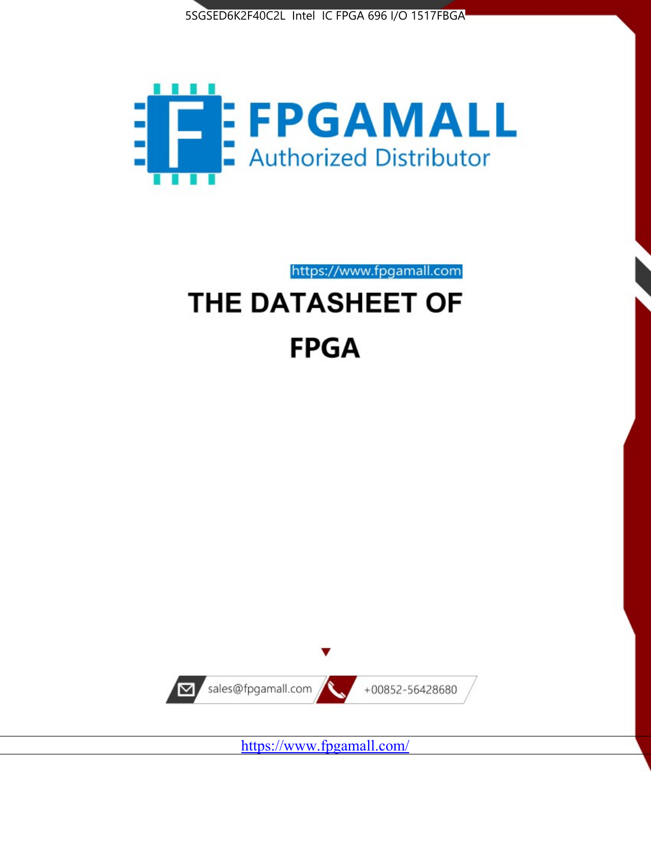



https://www.fpgamall.com

# THE DATASHEET OF **FPGA**



<https://www.fpgamall.com/>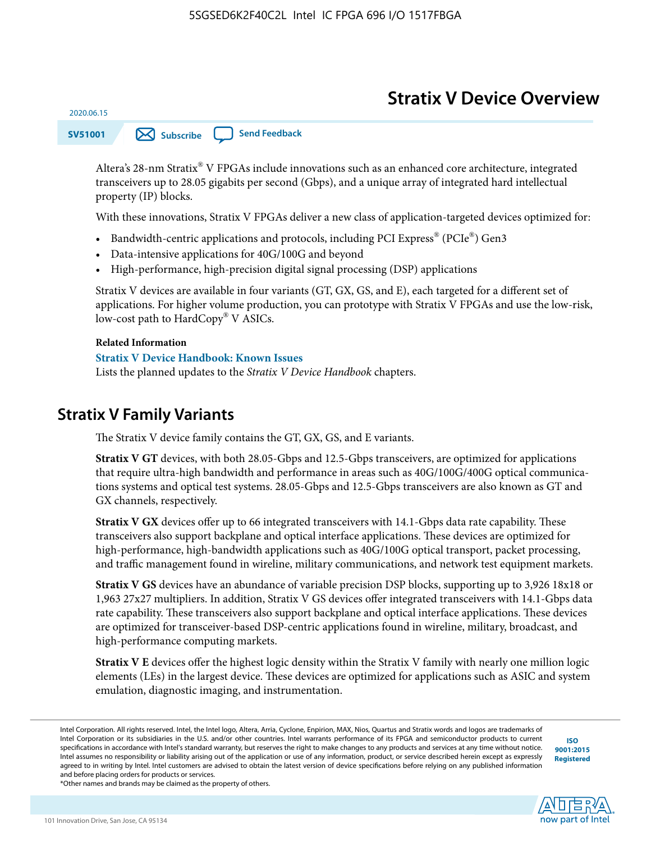# **Stratix V Device Overview**



Altera's 28-nm Stratix® V FPGAs include innovations such as an enhanced core architecture, integrated transceivers up to 28.05 gigabits per second (Gbps), and a unique array of integrated hard intellectual property (IP) blocks.

With these innovations, Stratix V FPGAs deliver a new class of application-targeted devices optimized for:

- Bandwidth-centric applications and protocols, including PCI Express® (PCIe®) Gen3
- Data-intensive applications for 40G/100G and beyond
- High-performance, high-precision digital signal processing (DSP) applications

Stratix V devices are available in four variants (GT, GX, GS, and E), each targeted for a different set of applications. For higher volume production, you can prototype with Stratix V FPGAs and use the low-risk, low-cost path to HardCopy® V ASICs.

#### **Related Information**

2020.06.15

#### **[Stratix V Device Handbook: Known Issues](http://www.altera.com/support/kdb/solutions/rd08242010_83.html)**

Lists the planned updates to the *Stratix V Device Handbook* chapters.

### **Stratix V Family Variants**

The Stratix V device family contains the GT, GX, GS, and E variants.

**Stratix V GT** devices, with both 28.05-Gbps and 12.5-Gbps transceivers, are optimized for applications that require ultra-high bandwidth and performance in areas such as 40G/100G/400G optical communica‐ tions systems and optical test systems. 28.05-Gbps and 12.5-Gbps transceivers are also known as GT and GX channels, respectively.

**Stratix V GX** devices offer up to 66 integrated transceivers with 14.1-Gbps data rate capability. These transceivers also support backplane and optical interface applications. These devices are optimized for high-performance, high-bandwidth applications such as 40G/100G optical transport, packet processing, and traffic management found in wireline, military communications, and network test equipment markets.

**Stratix V GS** devices have an abundance of variable precision DSP blocks, supporting up to 3,926 18x18 or 1,963 27x27 multipliers. In addition, Stratix V GS devices offer integrated transceivers with 14.1-Gbps data rate capability. These transceivers also support backplane and optical interface applications. These devices are optimized for transceiver-based DSP-centric applications found in wireline, military, broadcast, and high-performance computing markets.

**Stratix V E** devices offer the highest logic density within the Stratix V family with nearly one million logic elements (LEs) in the largest device. These devices are optimized for applications such as ASIC and system emulation, diagnostic imaging, and instrumentation.

**[ISO](http://www.altera.com/support/devices/reliability/certifications/rel-certifications.html) [9001:2015](http://www.altera.com/support/devices/reliability/certifications/rel-certifications.html) [Registered](http://www.altera.com/support/devices/reliability/certifications/rel-certifications.html)**



\*Other names and brands may be claimed as the property of others.

Intel Corporation. All rights reserved. Intel, the Intel logo, Altera, Arria, Cyclone, Enpirion, MAX, Nios, Quartus and Stratix words and logos are trademarks of Intel Corporation or its subsidiaries in the U.S. and/or other countries. Intel warrants performance of its FPGA and semiconductor products to current specifications in accordance with Intel's standard warranty, but reserves the right to make changes to any products and services at any time without notice. Intel assumes no responsibility or liability arising out of the application or use of any information, product, or service described herein except as expressly agreed to in writing by Intel. Intel customers are advised to obtain the latest version of device specifications before relying on any published information and before placing orders for products or services.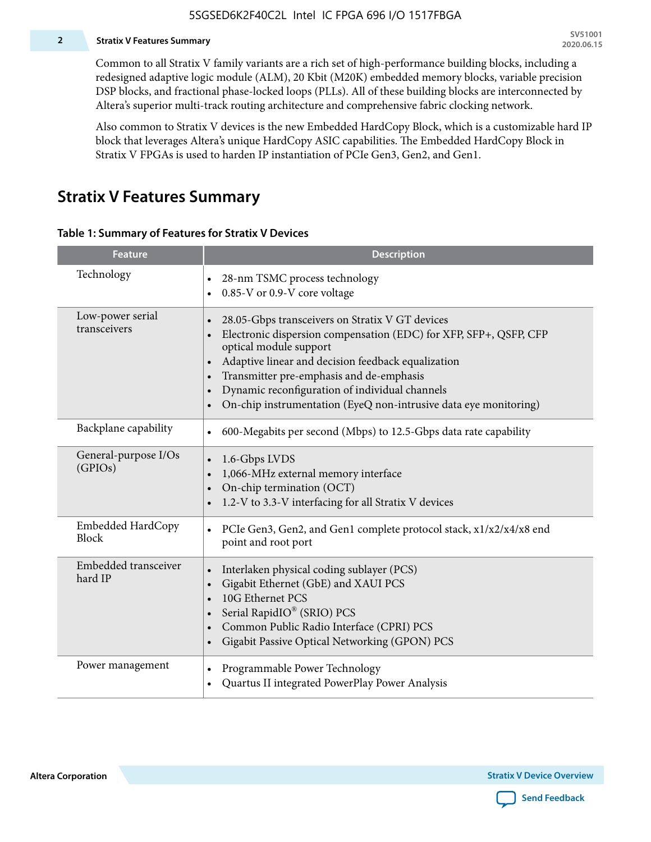#### **2 Stratix V Features Summary**

Common to all Stratix V family variants are a rich set of high-performance building blocks, including a redesigned adaptive logic module (ALM), 20 Kbit (M20K) embedded memory blocks, variable precision DSP blocks, and fractional phase-locked loops (PLLs). All of these building blocks are interconnected by Altera's superior multi-track routing architecture and comprehensive fabric clocking network.

Also common to Stratix V devices is the new Embedded HardCopy Block, which is a customizable hard IP block that leverages Altera's unique HardCopy ASIC capabilities. The Embedded HardCopy Block in Stratix V FPGAs is used to harden IP instantiation of PCIe Gen3, Gen2, and Gen1.

### **Stratix V Features Summary**

#### **Table 1: Summary of Features for Stratix V Devices**

| <b>Feature</b>                    | <b>Description</b>                                                                                                                                                                                                                                                                                                                                                                                                         |
|-----------------------------------|----------------------------------------------------------------------------------------------------------------------------------------------------------------------------------------------------------------------------------------------------------------------------------------------------------------------------------------------------------------------------------------------------------------------------|
| Technology                        | 28-nm TSMC process technology<br>0.85-V or 0.9-V core voltage                                                                                                                                                                                                                                                                                                                                                              |
| Low-power serial<br>transceivers  | 28.05-Gbps transceivers on Stratix V GT devices<br>$\bullet$<br>Electronic dispersion compensation (EDC) for XFP, SFP+, QSFP, CFP<br>optical module support<br>Adaptive linear and decision feedback equalization<br>$\bullet$<br>Transmitter pre-emphasis and de-emphasis<br>Dynamic reconfiguration of individual channels<br>$\bullet$<br>On-chip instrumentation (EyeQ non-intrusive data eye monitoring)<br>$\bullet$ |
| Backplane capability              | 600-Megabits per second (Mbps) to 12.5-Gbps data rate capability<br>$\bullet$                                                                                                                                                                                                                                                                                                                                              |
| General-purpose I/Os<br>(GPIOs)   | 1.6-Gbps LVDS<br>1,066-MHz external memory interface<br>$\bullet$<br>On-chip termination (OCT)<br>$\bullet$<br>1.2-V to 3.3-V interfacing for all Stratix V devices                                                                                                                                                                                                                                                        |
| Embedded HardCopy<br><b>Block</b> | PCIe Gen3, Gen2, and Gen1 complete protocol stack, x1/x2/x4/x8 end<br>$\bullet$<br>point and root port                                                                                                                                                                                                                                                                                                                     |
| Embedded transceiver<br>hard IP   | Interlaken physical coding sublayer (PCS)<br>$\bullet$<br>Gigabit Ethernet (GbE) and XAUI PCS<br>$\bullet$<br>10G Ethernet PCS<br>Serial RapidIO® (SRIO) PCS<br>$\bullet$<br>Common Public Radio Interface (CPRI) PCS<br>$\bullet$<br>Gigabit Passive Optical Networking (GPON) PCS<br>$\bullet$                                                                                                                           |
| Power management                  | Programmable Power Technology<br>$\bullet$<br>Quartus II integrated PowerPlay Power Analysis<br>$\bullet$                                                                                                                                                                                                                                                                                                                  |

**Altera Corporation** 

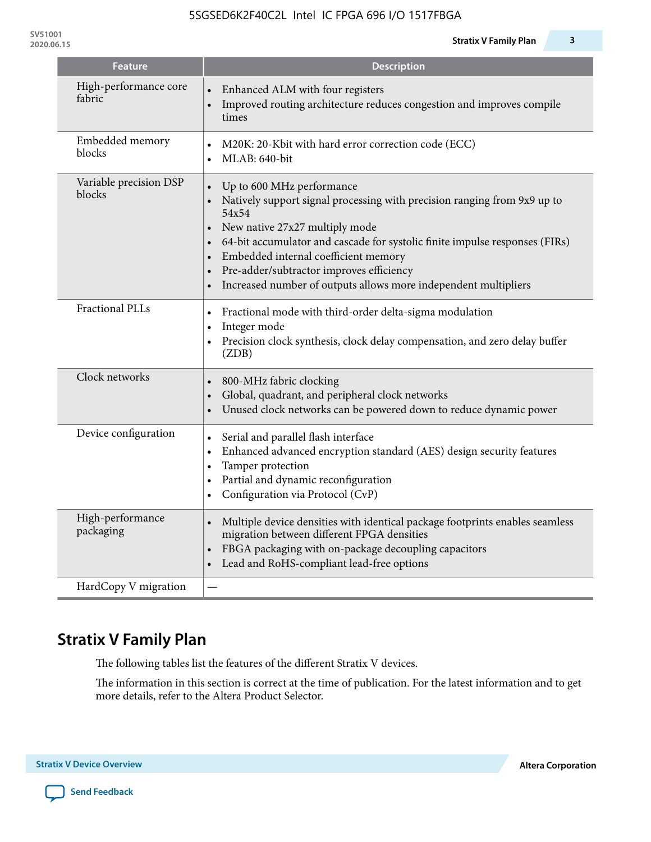| <b>Feature</b>                   | <b>Description</b>                                                                                                                                                                                                                                                                                                                                                                                  |
|----------------------------------|-----------------------------------------------------------------------------------------------------------------------------------------------------------------------------------------------------------------------------------------------------------------------------------------------------------------------------------------------------------------------------------------------------|
| High-performance core<br>fabric  | Enhanced ALM with four registers<br>Improved routing architecture reduces congestion and improves compile<br>times                                                                                                                                                                                                                                                                                  |
| Embedded memory<br>blocks        | M20K: 20-Kbit with hard error correction code (ECC)<br>$\bullet$<br>MLAB: 640-bit<br>$\bullet$                                                                                                                                                                                                                                                                                                      |
| Variable precision DSP<br>blocks | Up to 600 MHz performance<br>Natively support signal processing with precision ranging from 9x9 up to<br>54x54<br>New native 27x27 multiply mode<br>64-bit accumulator and cascade for systolic finite impulse responses (FIRs)<br>Embedded internal coefficient memory<br>Pre-adder/subtractor improves efficiency<br>Increased number of outputs allows more independent multipliers<br>$\bullet$ |
| <b>Fractional PLLs</b>           | Fractional mode with third-order delta-sigma modulation<br>$\bullet$<br>Integer mode<br>$\bullet$<br>Precision clock synthesis, clock delay compensation, and zero delay buffer<br>$\bullet$<br>(ZDB)                                                                                                                                                                                               |
| Clock networks                   | 800-MHz fabric clocking<br>Global, quadrant, and peripheral clock networks<br>Unused clock networks can be powered down to reduce dynamic power                                                                                                                                                                                                                                                     |
| Device configuration             | Serial and parallel flash interface<br>$\bullet$<br>Enhanced advanced encryption standard (AES) design security features<br>$\bullet$<br>Tamper protection<br>$\bullet$<br>Partial and dynamic reconfiguration<br>$\bullet$<br>Configuration via Protocol (CvP)<br>$\bullet$                                                                                                                        |
| High-performance<br>packaging    | Multiple device densities with identical package footprints enables seamless<br>$\bullet$<br>migration between different FPGA densities<br>FBGA packaging with on-package decoupling capacitors<br>$\bullet$<br>Lead and RoHS-compliant lead-free options                                                                                                                                           |
| HardCopy V migration             |                                                                                                                                                                                                                                                                                                                                                                                                     |

# **Stratix V Family Plan**

The following tables list the features of the different Stratix V devices.

The information in this section is correct at the time of publication. For the latest information and to get more details, refer to the Altera Product Selector.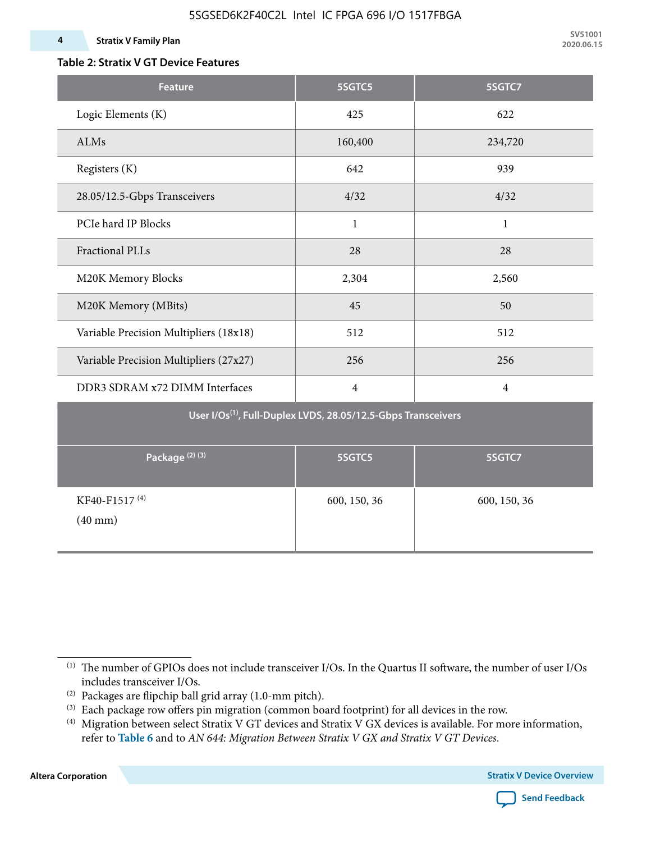### **Table 2: Stratix V GT Device Features**

| <b>Feature</b>                                                            | 5SGTC5         | 5SGTC7         |  |  |  |  |  |  |  |
|---------------------------------------------------------------------------|----------------|----------------|--|--|--|--|--|--|--|
| Logic Elements (K)                                                        | 425            | 622            |  |  |  |  |  |  |  |
| ALMs                                                                      | 160,400        | 234,720        |  |  |  |  |  |  |  |
| Registers (K)                                                             | 642            | 939            |  |  |  |  |  |  |  |
| 28.05/12.5-Gbps Transceivers                                              | 4/32           | 4/32           |  |  |  |  |  |  |  |
| PCIe hard IP Blocks                                                       | $\mathbf{1}$   | $\mathbf{1}$   |  |  |  |  |  |  |  |
| <b>Fractional PLLs</b>                                                    | 28             | 28             |  |  |  |  |  |  |  |
| M20K Memory Blocks                                                        | 2,304          | 2,560          |  |  |  |  |  |  |  |
| M20K Memory (MBits)                                                       | 45             | 50             |  |  |  |  |  |  |  |
| Variable Precision Multipliers (18x18)                                    | 512            | 512            |  |  |  |  |  |  |  |
| Variable Precision Multipliers (27x27)                                    | 256            | 256            |  |  |  |  |  |  |  |
| DDR3 SDRAM x72 DIMM Interfaces                                            | $\overline{4}$ | $\overline{4}$ |  |  |  |  |  |  |  |
| User I/Os <sup>(1)</sup> , Full-Duplex LVDS, 28.05/12.5-Gbps Transceivers |                |                |  |  |  |  |  |  |  |
| Package <sup>(2)(3)</sup>                                                 | 5SGTC5         | 5SGTC7         |  |  |  |  |  |  |  |
| KF40-F1517 <sup>(4)</sup><br>$(40 \text{ mm})$                            | 600, 150, 36   | 600, 150, 36   |  |  |  |  |  |  |  |

**Altera Corporation** 



<sup>(1)</sup> The number of GPIOs does not include transceiver I/Os. In the Quartus II software, the number of user I/Os includes transceiver I/Os.

 $^{(2)}$  Packages are flipchip ball grid array (1.0-mm pitch).

<sup>(3)</sup> Each package row offers pin migration (common board footprint) for all devices in the row.

<sup>(4)</sup> Migration between select Stratix V GT devices and Stratix V GX devices is available. For more information, refer to **Table 6** and to *AN 644: Migration Between Stratix V GX and Stratix V GT Devices*.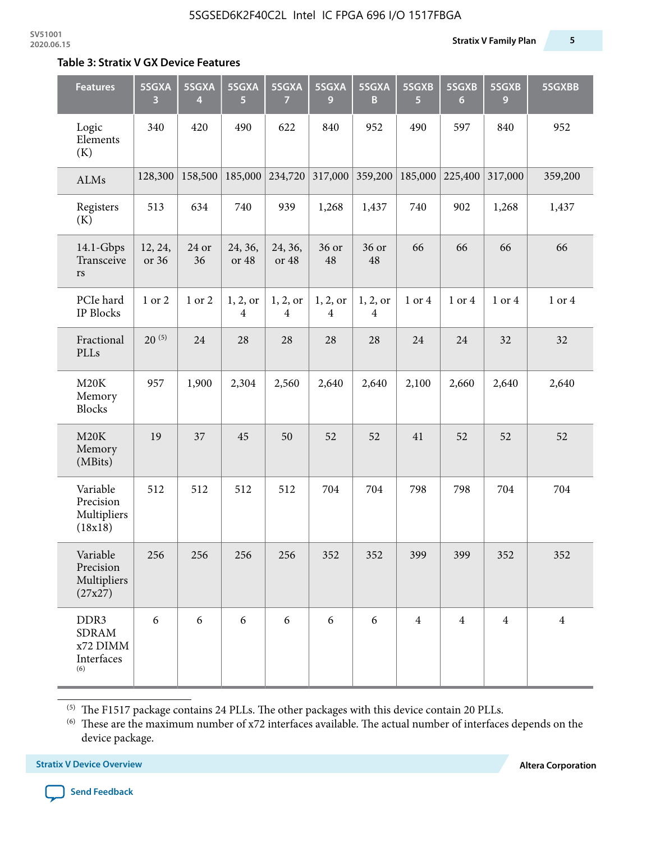#### **Table 3: Stratix V GX Device Features**

| <b>Features</b>                                       | 5SGXA<br>3       | 5SGXA<br>4  | 5SGXA<br>5                 | 5SGXA<br>$\mathbf{7}$      | 5SGXA<br>9                 | 5SGXA<br>B                 | 5SGXB<br>5     | 5SGXB<br>$6\phantom{1}6$ | 5SGXB<br>9     | 5SGXBB         |
|-------------------------------------------------------|------------------|-------------|----------------------------|----------------------------|----------------------------|----------------------------|----------------|--------------------------|----------------|----------------|
| Logic<br>Elements<br>(K)                              | 340              | 420         | 490                        | 622                        | 840                        | 952                        | 490            | 597                      | 840            | 952            |
| <b>ALMs</b>                                           | 128,300          | 158,500     | 185,000                    | 234,720                    | 317,000                    | 359,200                    | 185,000        | 225,400                  | 317,000        | 359,200        |
| Registers<br>(K)                                      | 513              | 634         | 740                        | 939                        | 1,268                      | 1,437                      | 740            | 902                      | 1,268          | 1,437          |
| $14.1$ -Gbps<br>Transceive<br>rs                      | 12, 24,<br>or 36 | 24 or<br>36 | 24, 36,<br>or 48           | 24, 36,<br>or 48           | 36 or<br>48                | 36 or<br>48                | 66             | 66                       | 66             | 66             |
| PCIe hard<br><b>IP Blocks</b>                         | 1 or 2           | 1 or 2      | 1, 2, or<br>$\overline{4}$ | 1, 2, or<br>$\overline{4}$ | 1, 2, or<br>$\overline{4}$ | 1, 2, or<br>$\overline{4}$ | 1 or 4         | 1 or 4                   | 1 or 4         | 1 or 4         |
| Fractional<br>PLLs                                    | $20^{(5)}$       | 24          | 28                         | 28                         | 28                         | 28                         | 24             | 24                       | 32             | 32             |
| M20K<br>Memory<br><b>Blocks</b>                       | 957              | 1,900       | 2,304                      | 2,560                      | 2,640                      | 2,640                      | 2,100          | 2,660                    | 2,640          | 2,640          |
| M20K<br>Memory<br>(MBits)                             | 19               | 37          | 45                         | 50                         | 52                         | 52                         | 41             | 52                       | 52             | 52             |
| Variable<br>Precision<br>Multipliers<br>(18x18)       | 512              | 512         | 512                        | 512                        | 704                        | 704                        | 798            | 798                      | 704            | 704            |
| Variable<br>Precision<br>Multipliers<br>(27x27)       | 256              | 256         | 256                        | 256                        | 352                        | 352                        | 399            | 399                      | 352            | 352            |
| DDR3<br><b>SDRAM</b><br>x72 DIMM<br>Interfaces<br>(6) | 6                | 6           | 6                          | 6                          | 6                          | 6                          | $\overline{4}$ | $\overline{4}$           | $\overline{4}$ | $\overline{4}$ |

 $^{\left(5\right)}$  The F1517 package contains 24 PLLs. The other packages with this device contain 20 PLLs.

(6) These are the maximum number of x72 interfaces available. The actual number of interfaces depends on the device package.

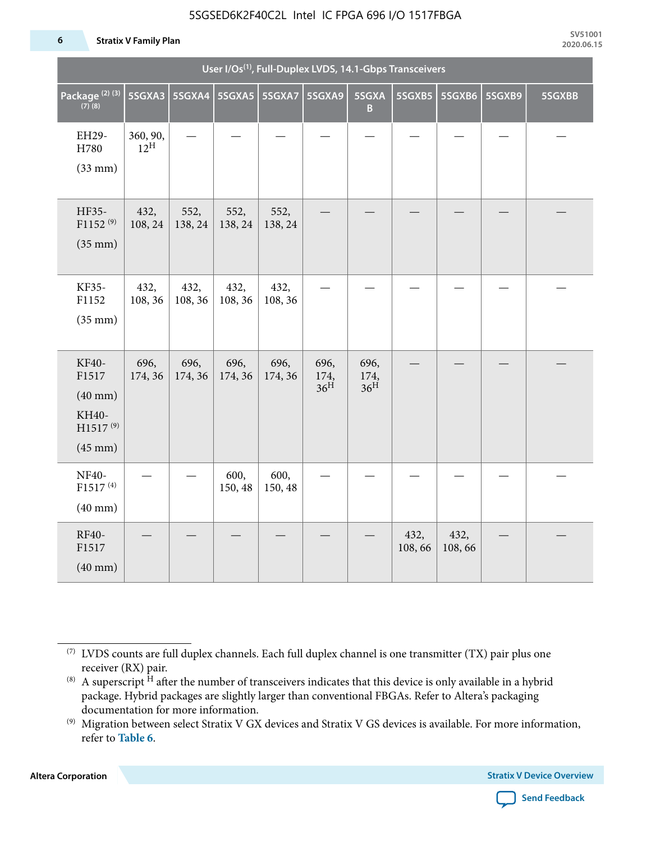#### 5SGSED6K2F40C2L Intel IC FPGA 696 I/O 1517FBGA

#### **6 Stratix V Family Plan**

|                                                                                 | User I/Os <sup>(1)</sup> , Full-Duplex LVDS, 14.1-Gbps Transceivers |                 |                 |                 |                                 |                                 |                |                |        |        |  |  |
|---------------------------------------------------------------------------------|---------------------------------------------------------------------|-----------------|-----------------|-----------------|---------------------------------|---------------------------------|----------------|----------------|--------|--------|--|--|
| Package <sup>(2)(3)</sup><br>$(7)$ (8)                                          | 5SGXA3                                                              |                 | 5SGXA4 5SGXA5   | 5SGXA7          | 5SGXA9                          | 5SGXA<br>B                      | 5SGXB5         | 5SGXB6         | 5SGXB9 | 5SGXBB |  |  |
| EH29-<br>H780<br>$(33$ mm $)$                                                   | 360, 90,<br>$12^{\text{H}}$                                         |                 |                 |                 |                                 |                                 |                |                |        |        |  |  |
| HF35-<br>$F1152^{(9)}$<br>$(35$ mm $)$                                          | 432,<br>108, 24                                                     | 552,<br>138, 24 | 552,<br>138, 24 | 552,<br>138, 24 |                                 |                                 |                |                |        |        |  |  |
| KF35-<br>F1152<br>$(35$ mm $)$                                                  | 432,<br>108, 36                                                     | 432,<br>108, 36 | 432,<br>108, 36 | 432,<br>108, 36 |                                 |                                 |                |                |        |        |  |  |
| KF40-<br>F1517<br>$(40$ mm $)$<br>KH40-<br>H1517 <sup>(9)</sup><br>$(45$ mm $)$ | 696,<br>174, 36                                                     | 696,<br>174, 36 | 696,<br>174, 36 | 696,<br>174, 36 | 696,<br>174,<br>36 <sup>H</sup> | 696,<br>174,<br>36 <sup>H</sup> |                |                |        |        |  |  |
| <b>NF40-</b><br>$F1517^{(4)}$<br>$(40$ mm $)$                                   |                                                                     |                 | 600,<br>150, 48 | 600,<br>150, 48 |                                 |                                 |                |                |        |        |  |  |
| RF40-<br>F1517<br>$(40$ mm $)$                                                  |                                                                     |                 |                 |                 |                                 |                                 | 432,<br>108,66 | 432,<br>108,66 |        |        |  |  |

**Altera Corporation** 



<sup>(7)</sup> LVDS counts are full duplex channels. Each full duplex channel is one transmitter (TX) pair plus one receiver (RX) pair.

<sup>(8)</sup> A superscript  $H$  after the number of transceivers indicates that this device is only available in a hybrid package. Hybrid packages are slightly larger than conventional FBGAs. Refer to Altera's packaging documentation for more information.

<sup>(9)</sup> Migration between select Stratix V GX devices and Stratix V GS devices is available. For more information, refer to **Table 6**.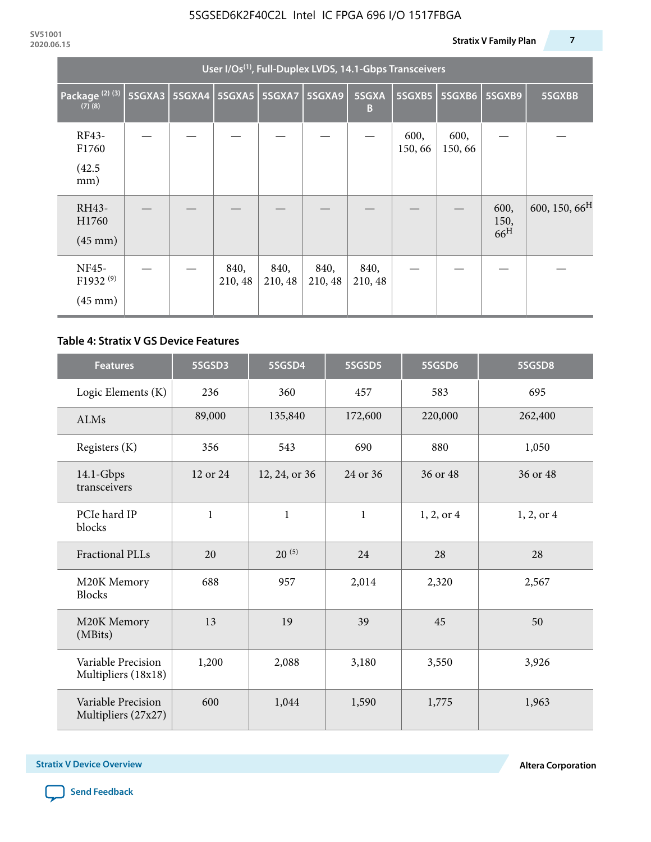|                                                           | User I/Os <sup>(1)</sup> , Full-Duplex LVDS, 14.1-Gbps Transceivers |  |                 |                 |                 |                 |                |                |                                 |                           |  |  |
|-----------------------------------------------------------|---------------------------------------------------------------------|--|-----------------|-----------------|-----------------|-----------------|----------------|----------------|---------------------------------|---------------------------|--|--|
| Package <sup>(2)(3)</sup><br>$(7)$ $(8)$                  | 5SGXA3                                                              |  | 5SGXA4 5SGXA5   | 5SGXA7          | 5SGXA9          | 5SGXA<br>B      | 5SGXB5         | 5SGXB6         | 5SGXB9                          | 5SGXBB                    |  |  |
| RF43-<br>F1760<br>(42.5)<br>mm)                           |                                                                     |  |                 |                 |                 |                 | 600,<br>150,66 | 600,<br>150,66 |                                 |                           |  |  |
| RH43-<br>H1760<br>$(45 \text{ mm})$                       |                                                                     |  |                 |                 |                 |                 |                |                | 600,<br>150,<br>66 <sup>H</sup> | 600, 150, 66 <sup>H</sup> |  |  |
| <b>NF45-</b><br>F1932 <sup>(9)</sup><br>$(45 \text{ mm})$ |                                                                     |  | 840,<br>210, 48 | 840,<br>210, 48 | 840,<br>210, 48 | 840,<br>210, 48 |                |                |                                 |                           |  |  |

#### **Table 4: Stratix V GS Device Features**

| <b>Features</b>                           | 5SGSD3         | 5SGSD4        | 5SGSD5       | 5SGSD6     | 5SGSD8     |
|-------------------------------------------|----------------|---------------|--------------|------------|------------|
| Logic Elements (K)                        | 236            | 360           | 457          | 583        | 695        |
| <b>ALMs</b>                               | 89,000         | 135,840       | 172,600      | 220,000    | 262,400    |
| Registers (K)                             | 356            | 543           | 690          | 880        | 1,050      |
| $14.1$ -Gbps<br>transceivers              | 12 or 24       | 12, 24, or 36 | 24 or 36     | 36 or 48   | 36 or 48   |
| PCIe hard IP<br>blocks                    | $\mathbf{1}$   | $\mathbf{1}$  | $\mathbf{1}$ | 1, 2, or 4 | 1, 2, or 4 |
| <b>Fractional PLLs</b>                    | 20             |               | 24           | 28         | 28         |
| M20K Memory<br><b>Blocks</b>              | 688            | 957           | 2,014        | 2,320      | 2,567      |
| M20K Memory<br>(MBits)                    | 13             | 19            | 39           | 45         | 50         |
| Variable Precision<br>Multipliers (18x18) | 1,200<br>2,088 |               | 3,180        | 3,550      | 3,926      |
| Variable Precision<br>Multipliers (27x27) | 600            | 1,044         | 1,590        | 1,775      | 1,963      |

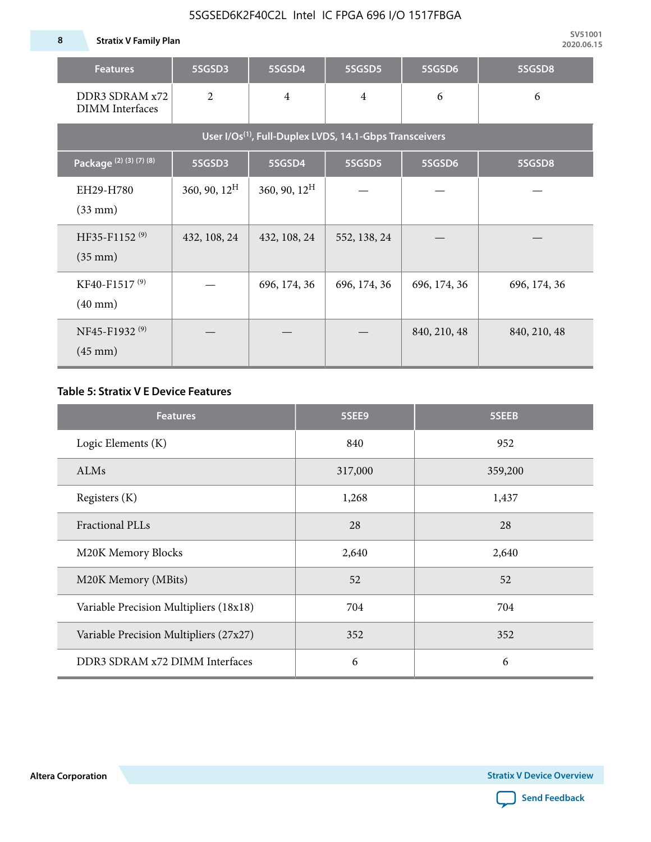### 5SGSED6K2F40C2L Intel IC FPGA 696 I/O 1517FBGA

**8 Stratix V Family Plan**

| <b>Features</b>                                                     | 5SGSD3          | 5SGSD4          | 5SGSD5         | 5SGSD6       | 5SGSD8       |  |  |  |  |  |  |  |
|---------------------------------------------------------------------|-----------------|-----------------|----------------|--------------|--------------|--|--|--|--|--|--|--|
| DDR3 SDRAM x72<br><b>DIMM</b> Interfaces                            | $\overline{2}$  | $\overline{4}$  | $\overline{4}$ | 6            | 6            |  |  |  |  |  |  |  |
| User I/Os <sup>(1)</sup> , Full-Duplex LVDS, 14.1-Gbps Transceivers |                 |                 |                |              |              |  |  |  |  |  |  |  |
| Package (2) (3) (7) (8)                                             | 5SGSD3          | 5SGSD4          | 5SGSD5         | 5SGSD6       | 5SGSD8       |  |  |  |  |  |  |  |
| EH29-H780<br>$(33$ mm $)$                                           | 360, 90, $12^H$ | 360, 90, $12^H$ |                |              |              |  |  |  |  |  |  |  |
| HF35-F1152 <sup>(9)</sup><br>$(35 \text{ mm})$                      | 432, 108, 24    | 432, 108, 24    | 552, 138, 24   |              |              |  |  |  |  |  |  |  |
| KF40-F1517 <sup>(9)</sup><br>$(40 \text{ mm})$                      |                 | 696, 174, 36    | 696, 174, 36   | 696, 174, 36 | 696, 174, 36 |  |  |  |  |  |  |  |
| NF45-F1932 <sup>(9)</sup><br>$(45 \text{ mm})$                      |                 |                 |                | 840, 210, 48 | 840, 210, 48 |  |  |  |  |  |  |  |

#### **Table 5: Stratix V E Device Features**

| <b>Features</b>                        | 5SEE9   | 5SEEB   |
|----------------------------------------|---------|---------|
| Logic Elements (K)                     | 840     | 952     |
| ALMs                                   | 317,000 | 359,200 |
| Registers (K)                          | 1,268   | 1,437   |
| <b>Fractional PLLs</b>                 | 28      | 28      |
| M20K Memory Blocks                     | 2,640   | 2,640   |
| M20K Memory (MBits)                    | 52      | 52      |
| Variable Precision Multipliers (18x18) | 704     | 704     |
| Variable Precision Multipliers (27x27) | 352     | 352     |
| DDR3 SDRAM x72 DIMM Interfaces         | 6       | 6       |

**Altera Corporation** 

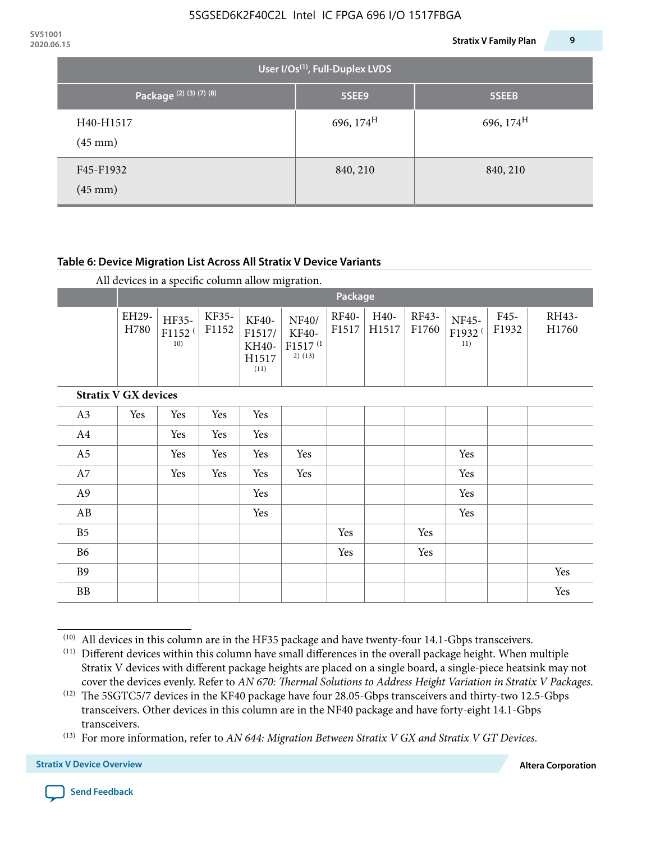| 2020.06.15 |                                             |                                             | 9<br><b>Stratix V Family Plan</b> |  |
|------------|---------------------------------------------|---------------------------------------------|-----------------------------------|--|
|            |                                             | User I/Os <sup>(1)</sup> , Full-Duplex LVDS |                                   |  |
|            | Package <sup>(2)(3)</sup> <sup>(7)(8)</sup> | 5SEE9                                       | 5SEEB                             |  |
|            | H40-H1517<br>$(45 \text{ mm})$              | 696, $174^{\rm H}$                          | 696, $174^H$                      |  |
|            | F45-F1932<br>$(45 \text{ mm})$              | 840, 210                                    | 840, 210                          |  |

#### **Table 6: Device Migration List Across All Stratix V Device Variants**

|                             |               | Package                            |                |                                           |                                                           |                |               |                |                                    |               |                |  |
|-----------------------------|---------------|------------------------------------|----------------|-------------------------------------------|-----------------------------------------------------------|----------------|---------------|----------------|------------------------------------|---------------|----------------|--|
|                             | EH29-<br>H780 | HF35-<br>F1152 <sup>(</sup><br>10) | KF35-<br>F1152 | KF40-<br>F1517/<br>KH40-<br>H1517<br>(11) | NF40/<br><b>KF40-</b><br>F1517 <sup>(1</sup><br>$2)$ (13) | RF40-<br>F1517 | H40-<br>H1517 | RF43-<br>F1760 | NF45-<br>F1932 <sup>(</sup><br>11) | F45-<br>F1932 | RH43-<br>H1760 |  |
| <b>Stratix V GX devices</b> |               |                                    |                |                                           |                                                           |                |               |                |                                    |               |                |  |
| A3                          | Yes           | Yes                                | Yes            | Yes                                       |                                                           |                |               |                |                                    |               |                |  |
| A4                          |               | Yes                                | Yes            | Yes                                       |                                                           |                |               |                |                                    |               |                |  |
| A <sub>5</sub>              |               | Yes                                | Yes            | Yes                                       | Yes                                                       |                |               |                | Yes                                |               |                |  |
| A7                          |               | Yes                                | Yes            | Yes                                       | Yes                                                       |                |               |                | Yes                                |               |                |  |
| A <sub>9</sub>              |               |                                    |                | Yes                                       |                                                           |                |               |                | Yes                                |               |                |  |
| AB                          |               |                                    |                | Yes                                       |                                                           |                |               |                | Yes                                |               |                |  |
| B <sub>5</sub>              |               |                                    |                |                                           |                                                           | Yes            |               | Yes            |                                    |               |                |  |
| B <sub>6</sub>              |               |                                    |                |                                           |                                                           | Yes            |               | Yes            |                                    |               |                |  |
| <b>B9</b>                   |               |                                    |                |                                           |                                                           |                |               |                |                                    |               | Yes            |  |
| <b>BB</b>                   |               |                                    |                |                                           |                                                           |                |               |                |                                    |               | Yes            |  |

 $(10)$  All devices in this column are in the HF35 package and have twenty-four 14.1-Gbps transceivers.

<sup>(11)</sup> Different devices within this column have small differences in the overall package height. When multiple Stratix V devices with different package heights are placed on a single board, a single-piece heatsink may not cover the devices evenly. Refer to *AN 670: Thermal Solutions to Address Height Variation in Stratix V Packages*.

<sup>(12)</sup> The 5SGTC5/7 devices in the KF40 package have four 28.05-Gbps transceivers and thirty-two 12.5-Gbps transceivers. Other devices in this column are in the NF40 package and have forty-eight 14.1-Gbps transceivers.

<sup>(13)</sup> For more information, refer to *AN 644: Migration Between Stratix V GX and Stratix V GT Devices*.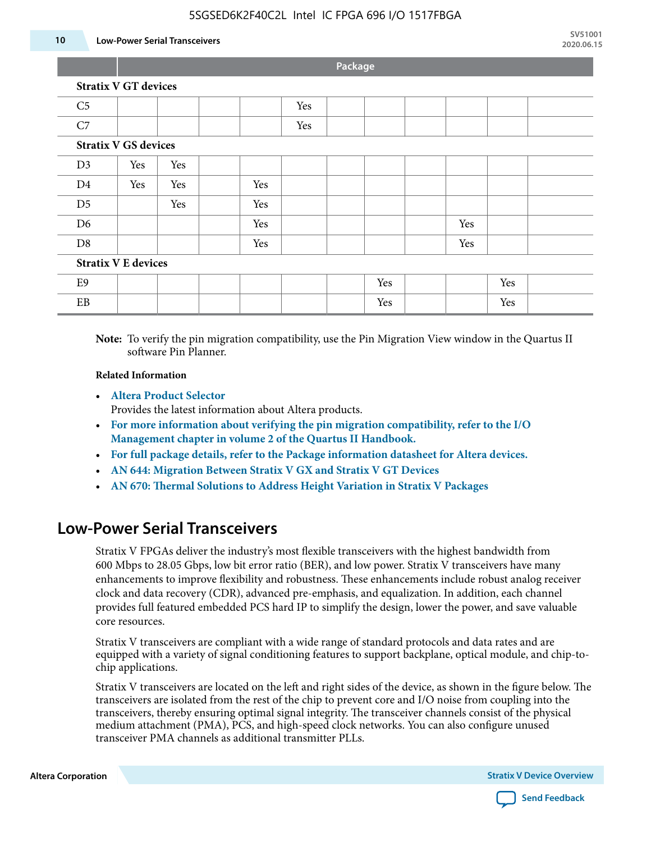#### 5SGSED6K2F40C2L Intel IC FPGA 696 I/O 1517FBGA

#### **10 Low-Power Serial Transceivers**

**Package**

| <b>Stratix V GT devices</b> |                             |     |     |     |  |     |  |     |     |  |
|-----------------------------|-----------------------------|-----|-----|-----|--|-----|--|-----|-----|--|
| C <sub>5</sub>              |                             |     |     | Yes |  |     |  |     |     |  |
| C7                          |                             |     |     | Yes |  |     |  |     |     |  |
|                             | <b>Stratix V GS devices</b> |     |     |     |  |     |  |     |     |  |
| D <sub>3</sub>              | Yes                         | Yes |     |     |  |     |  |     |     |  |
| D <sub>4</sub>              | Yes                         | Yes | Yes |     |  |     |  |     |     |  |
| D <sub>5</sub>              |                             | Yes | Yes |     |  |     |  |     |     |  |
| D <sub>6</sub>              |                             |     | Yes |     |  |     |  | Yes |     |  |
| D <sub>8</sub>              |                             |     | Yes |     |  |     |  | Yes |     |  |
| <b>Stratix V E devices</b>  |                             |     |     |     |  |     |  |     |     |  |
| E <sub>9</sub>              |                             |     |     |     |  | Yes |  |     | Yes |  |
| EB                          |                             |     |     |     |  | Yes |  |     | Yes |  |
|                             |                             |     |     |     |  |     |  |     |     |  |

**Note:** To verify the pin migration compatibility, use the Pin Migration View window in the Quartus II software Pin Planner.

#### **Related Information**

• **[Altera Product Selector](http://www.altera.com/products/selector/psg-selector.html#)**

Provides the latest information about Altera products.

- **[For more information about verifying the pin migration compatibility, refer to the I/O](http://www.altera.com/literature/hb/qts/qts_qii52013.pdf) [Management chapter in volume 2 of the Quartus II Handbook.](http://www.altera.com/literature/hb/qts/qts_qii52013.pdf)**
- **[For full package details, refer to the Package information datasheet for Altera devices.](http://www.altera.com/support/devices/packaging/specifications/pkg-pin/spe-index.jsp)**
- **[AN 644: Migration Between Stratix V GX and Stratix V GT Devices](http://www.altera.com/literature/an/an644.pdf)**
- **[AN 670: Thermal Solutions to Address Height Variation in Stratix V Packages](http://www.altera.com/literature/an/an670.pdf)**

### **Low-Power Serial Transceivers**

Stratix V FPGAs deliver the industry's most flexible transceivers with the highest bandwidth from 600 Mbps to 28.05 Gbps, low bit error ratio (BER), and low power. Stratix V transceivers have many enhancements to improve flexibility and robustness. These enhancements include robust analog receiver clock and data recovery (CDR), advanced pre-emphasis, and equalization. In addition, each channel provides full featured embedded PCS hard IP to simplify the design, lower the power, and save valuable core resources.

Stratix V transceivers are compliant with a wide range of standard protocols and data rates and are equipped with a variety of signal conditioning features to support backplane, optical module, and chip-tochip applications.

Stratix V transceivers are located on the left and right sides of the device, as shown in the figure below. The transceivers are isolated from the rest of the chip to prevent core and I/O noise from coupling into the transceivers, thereby ensuring optimal signal integrity. The transceiver channels consist of the physical medium attachment (PMA), PCS, and high-speed clock networks. You can also configure unused transceiver PMA channels as additional transmitter PLLs.

**Altera Corporation Stratix V Device Overview**

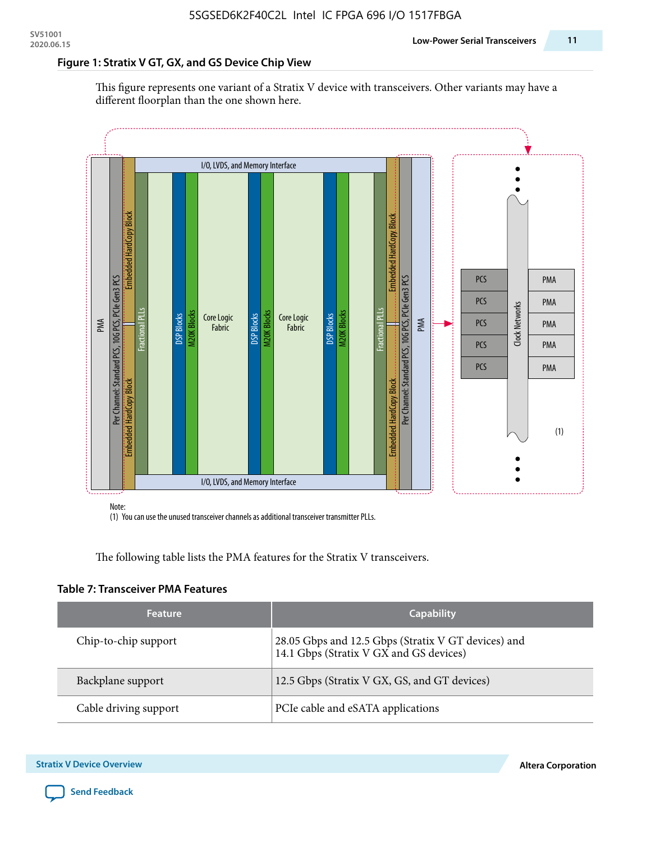#### **Figure 1: Stratix V GT, GX, and GS Device Chip View**

This figure represents one variant of a Stratix V device with transceivers. Other variants may have a different floorplan than the one shown here.



(1) You can use the unused transceiver channels as additional transceiver transmitter PLLs.

The following table lists the PMA features for the Stratix V transceivers.

#### **Table 7: Transceiver PMA Features**

| <b>Feature</b>        | <b>Capability</b>                                                                              |
|-----------------------|------------------------------------------------------------------------------------------------|
| Chip-to-chip support  | 28.05 Gbps and 12.5 Gbps (Stratix V GT devices) and<br>14.1 Gbps (Stratix V GX and GS devices) |
| Backplane support     | 12.5 Gbps (Stratix V GX, GS, and GT devices)                                                   |
| Cable driving support | PCIe cable and eSATA applications                                                              |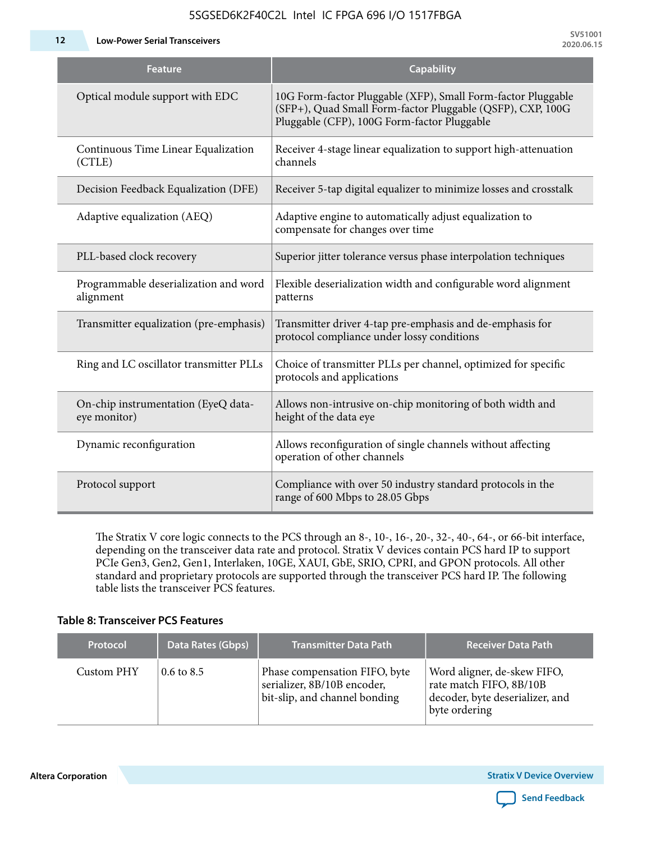**12 Low-Power Serial Transceivers**

| <b>Feature</b>                                      | <b>Capability</b>                                                                                                                                                         |
|-----------------------------------------------------|---------------------------------------------------------------------------------------------------------------------------------------------------------------------------|
| Optical module support with EDC                     | 10G Form-factor Pluggable (XFP), Small Form-factor Pluggable<br>(SFP+), Quad Small Form-factor Pluggable (QSFP), CXP, 100G<br>Pluggable (CFP), 100G Form-factor Pluggable |
| Continuous Time Linear Equalization<br>(CTLE)       | Receiver 4-stage linear equalization to support high-attenuation<br>channels                                                                                              |
| Decision Feedback Equalization (DFE)                | Receiver 5-tap digital equalizer to minimize losses and crosstalk                                                                                                         |
| Adaptive equalization (AEQ)                         | Adaptive engine to automatically adjust equalization to<br>compensate for changes over time                                                                               |
| PLL-based clock recovery                            | Superior jitter tolerance versus phase interpolation techniques                                                                                                           |
| Programmable deserialization and word<br>alignment  | Flexible deserialization width and configurable word alignment<br>patterns                                                                                                |
| Transmitter equalization (pre-emphasis)             | Transmitter driver 4-tap pre-emphasis and de-emphasis for<br>protocol compliance under lossy conditions                                                                   |
| Ring and LC oscillator transmitter PLLs             | Choice of transmitter PLLs per channel, optimized for specific<br>protocols and applications                                                                              |
| On-chip instrumentation (EyeQ data-<br>eye monitor) | Allows non-intrusive on-chip monitoring of both width and<br>height of the data eye                                                                                       |
| Dynamic reconfiguration                             | Allows reconfiguration of single channels without affecting<br>operation of other channels                                                                                |
| Protocol support                                    | Compliance with over 50 industry standard protocols in the<br>range of 600 Mbps to 28.05 Gbps                                                                             |

5SGSED6K2F40C2L Intel IC FPGA 696 I/O 1517FBGA

The Stratix V core logic connects to the PCS through an 8-, 10-, 16-, 20-, 32-, 40-, 64-, or 66-bit interface, depending on the transceiver data rate and protocol. Stratix V devices contain PCS hard IP to support PCIe Gen3, Gen2, Gen1, Interlaken, 10GE, XAUI, GbE, SRIO, CPRI, and GPON protocols. All other standard and proprietary protocols are supported through the transceiver PCS hard IP. The following table lists the transceiver PCS features.

#### **Table 8: Transceiver PCS Features**

| <b>Protocol</b> | Data Rates (Gbps)     | <b>Transmitter Data Path</b>                                                                  | <b>Receiver Data Path</b>                                                                                  |
|-----------------|-----------------------|-----------------------------------------------------------------------------------------------|------------------------------------------------------------------------------------------------------------|
| Custom PHY      | $0.6 \text{ to } 8.5$ | Phase compensation FIFO, byte<br>serializer, 8B/10B encoder,<br>bit-slip, and channel bonding | Word aligner, de-skew FIFO,<br>rate match FIFO, 8B/10B<br>decoder, byte deserializer, and<br>byte ordering |

**Altera Corporation** 

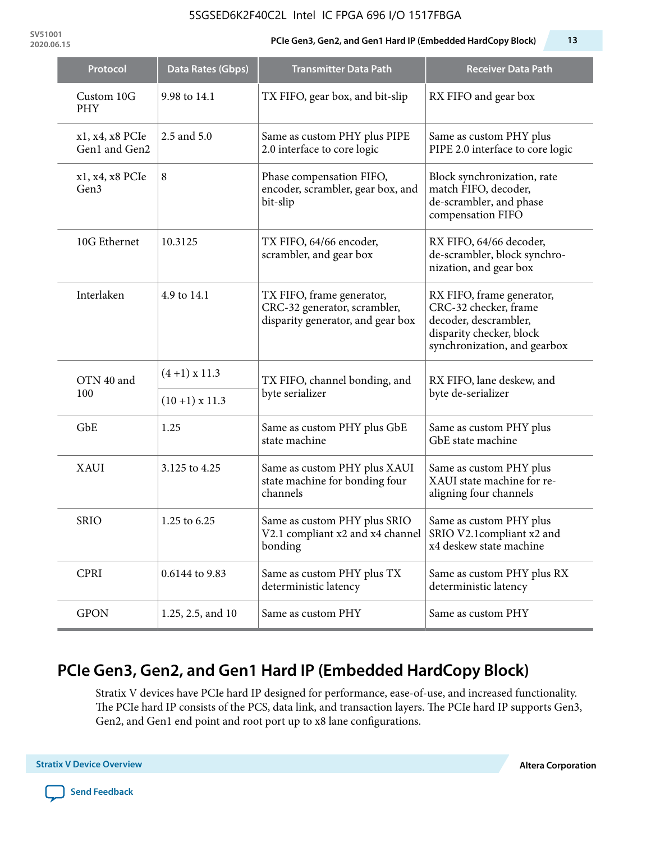#### 5SGSED6K2F40C2L Intel IC FPGA 696 I/O 1517FBGA

**SV51001**

#### **2020.06.15 PCIe Gen3, Gen2, and Gen1 Hard IP (Embedded HardCopy Block) 13**

| Protocol                         | Data Rates (Gbps)                                                     | <b>Transmitter Data Path</b>                                                                   | <b>Receiver Data Path</b>                                                                                                               |  |
|----------------------------------|-----------------------------------------------------------------------|------------------------------------------------------------------------------------------------|-----------------------------------------------------------------------------------------------------------------------------------------|--|
| Custom 10G<br><b>PHY</b>         | 9.98 to 14.1                                                          | TX FIFO, gear box, and bit-slip                                                                | RX FIFO and gear box                                                                                                                    |  |
| x1, x4, x8 PCIe<br>Gen1 and Gen2 | 2.5 and 5.0                                                           | Same as custom PHY plus PIPE<br>2.0 interface to core logic                                    | Same as custom PHY plus<br>PIPE 2.0 interface to core logic                                                                             |  |
| x1, x4, x8 PCIe<br>Gen3          | 8                                                                     | Phase compensation FIFO,<br>encoder, scrambler, gear box, and<br>bit-slip                      | Block synchronization, rate<br>match FIFO, decoder,<br>de-scrambler, and phase<br>compensation FIFO                                     |  |
| 10G Ethernet                     | 10.3125                                                               | TX FIFO, 64/66 encoder,<br>scrambler, and gear box                                             | RX FIFO, 64/66 decoder,<br>de-scrambler, block synchro-<br>nization, and gear box                                                       |  |
| Interlaken                       | 4.9 to 14.1                                                           | TX FIFO, frame generator,<br>CRC-32 generator, scrambler,<br>disparity generator, and gear box | RX FIFO, frame generator,<br>CRC-32 checker, frame<br>decoder, descrambler,<br>disparity checker, block<br>synchronization, and gearbox |  |
| OTN 40 and<br>100                | $(4+1)$ x 11.3                                                        | TX FIFO, channel bonding, and                                                                  | RX FIFO, lane deskew, and                                                                                                               |  |
|                                  | $(10+1)$ x 11.3                                                       | byte serializer                                                                                | byte de-serializer                                                                                                                      |  |
| GbE                              | 1.25                                                                  | Same as custom PHY plus GbE<br>state machine                                                   | Same as custom PHY plus<br>GbE state machine                                                                                            |  |
| <b>XAUI</b>                      | 3.125 to 4.25                                                         | Same as custom PHY plus XAUI<br>state machine for bonding four<br>channels                     | Same as custom PHY plus<br>XAUI state machine for re-<br>aligning four channels                                                         |  |
| <b>SRIO</b>                      | 1.25 to 6.25                                                          | Same as custom PHY plus SRIO<br>V2.1 compliant x2 and x4 channel<br>bonding                    | Same as custom PHY plus<br>SRIO V2.1compliant x2 and<br>x4 deskew state machine                                                         |  |
| <b>CPRI</b>                      | 0.6144 to 9.83<br>Same as custom PHY plus TX<br>deterministic latency |                                                                                                | Same as custom PHY plus RX<br>deterministic latency                                                                                     |  |
| <b>GPON</b>                      | 1.25, 2.5, and 10                                                     | Same as custom PHY                                                                             | Same as custom PHY                                                                                                                      |  |

# **PCIe Gen3, Gen2, and Gen1 Hard IP (Embedded HardCopy Block)**

Stratix V devices have PCIe hard IP designed for performance, ease-of-use, and increased functionality. The PCIe hard IP consists of the PCS, data link, and transaction layers. The PCIe hard IP supports Gen3, Gen2, and Gen1 end point and root port up to x8 lane configurations.

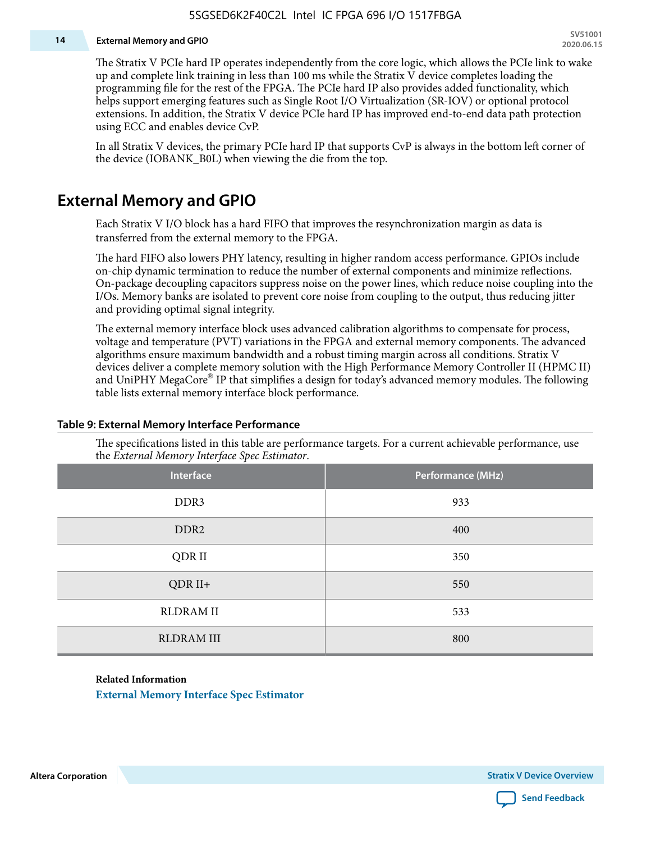#### **14 External Memory and GPIO**

The Stratix V PCIe hard IP operates independently from the core logic, which allows the PCIe link to wake up and complete link training in less than 100 ms while the Stratix V device completes loading the programming file for the rest of the FPGA. The PCIe hard IP also provides added functionality, which helps support emerging features such as Single Root I/O Virtualization (SR-IOV) or optional protocol extensions. In addition, the Stratix V device PCIe hard IP has improved end-to-end data path protection using ECC and enables device CvP.

In all Stratix V devices, the primary PCIe hard IP that supports CvP is always in the bottom left corner of the device (IOBANK\_B0L) when viewing the die from the top.

### **External Memory and GPIO**

Each Stratix V I/O block has a hard FIFO that improves the resynchronization margin as data is transferred from the external memory to the FPGA.

The hard FIFO also lowers PHY latency, resulting in higher random access performance. GPIOs include on-chip dynamic termination to reduce the number of external components and minimize reflections. On-package decoupling capacitors suppress noise on the power lines, which reduce noise coupling into the I/Os. Memory banks are isolated to prevent core noise from coupling to the output, thus reducing jitter and providing optimal signal integrity.

The external memory interface block uses advanced calibration algorithms to compensate for process, voltage and temperature (PVT) variations in the FPGA and external memory components. The advanced algorithms ensure maximum bandwidth and a robust timing margin across all conditions. Stratix V devices deliver a complete memory solution with the High Performance Memory Controller II (HPMC II) and UniPHY MegaCore® IP that simplifies a design for today's advanced memory modules. The following table lists external memory interface block performance.

| Interface         | Performance (MHz) |
|-------------------|-------------------|
| DDR3              | 933               |
| DDR <sub>2</sub>  | 400               |
| QDR II            | 350               |
| $QDR II+$         | 550               |
| <b>RLDRAM II</b>  | 533               |
| <b>RLDRAM III</b> | 800               |

#### **Table 9: External Memory Interface Performance**

The specifications listed in this table are performance targets. For a current achievable performance, use the *External Memory Interface Spec Estimator*.

#### **Related Information**

**[External Memory Interface Spec Estimator](http://www.altera.com/technology/memory/estimator/mem-emif-index.html)**

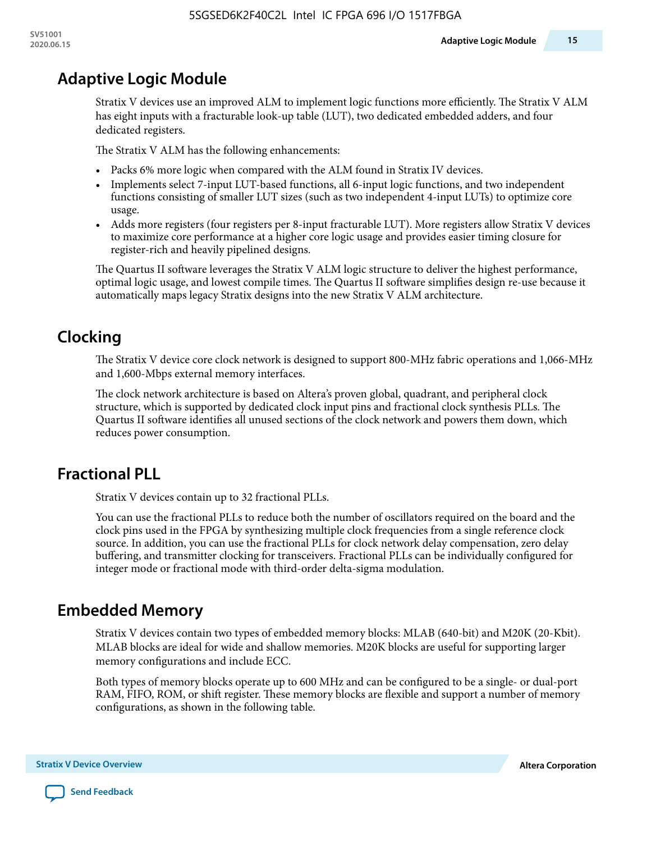### **Adaptive Logic Module**

Stratix V devices use an improved ALM to implement logic functions more efficiently. The Stratix V ALM has eight inputs with a fracturable look-up table (LUT), two dedicated embedded adders, and four dedicated registers.

The Stratix V ALM has the following enhancements:

- Packs 6% more logic when compared with the ALM found in Stratix IV devices.
- Implements select 7-input LUT-based functions, all 6-input logic functions, and two independent functions consisting of smaller LUT sizes (such as two independent 4-input LUTs) to optimize core usage.
- Adds more registers (four registers per 8-input fracturable LUT). More registers allow Stratix V devices to maximize core performance at a higher core logic usage and provides easier timing closure for register-rich and heavily pipelined designs.

The Quartus II software leverages the Stratix V ALM logic structure to deliver the highest performance, optimal logic usage, and lowest compile times. The Quartus II software simplifies design re-use because it automatically maps legacy Stratix designs into the new Stratix V ALM architecture.

# **Clocking**

The Stratix V device core clock network is designed to support 800-MHz fabric operations and 1,066-MHz and 1,600-Mbps external memory interfaces.

The clock network architecture is based on Altera's proven global, quadrant, and peripheral clock structure, which is supported by dedicated clock input pins and fractional clock synthesis PLLs. The Quartus II software identifies all unused sections of the clock network and powers them down, which reduces power consumption.

# **Fractional PLL**

Stratix V devices contain up to 32 fractional PLLs.

You can use the fractional PLLs to reduce both the number of oscillators required on the board and the clock pins used in the FPGA by synthesizing multiple clock frequencies from a single reference clock source. In addition, you can use the fractional PLLs for clock network delay compensation, zero delay buffering, and transmitter clocking for transceivers. Fractional PLLs can be individually configured for integer mode or fractional mode with third-order delta-sigma modulation.

### **Embedded Memory**

Stratix V devices contain two types of embedded memory blocks: MLAB (640-bit) and M20K (20-Kbit). MLAB blocks are ideal for wide and shallow memories. M20K blocks are useful for supporting larger memory configurations and include ECC.

Both types of memory blocks operate up to 600 MHz and can be configured to be a single- or dual-port RAM, FIFO, ROM, or shift register. These memory blocks are flexible and support a number of memory configurations, as shown in the following table.

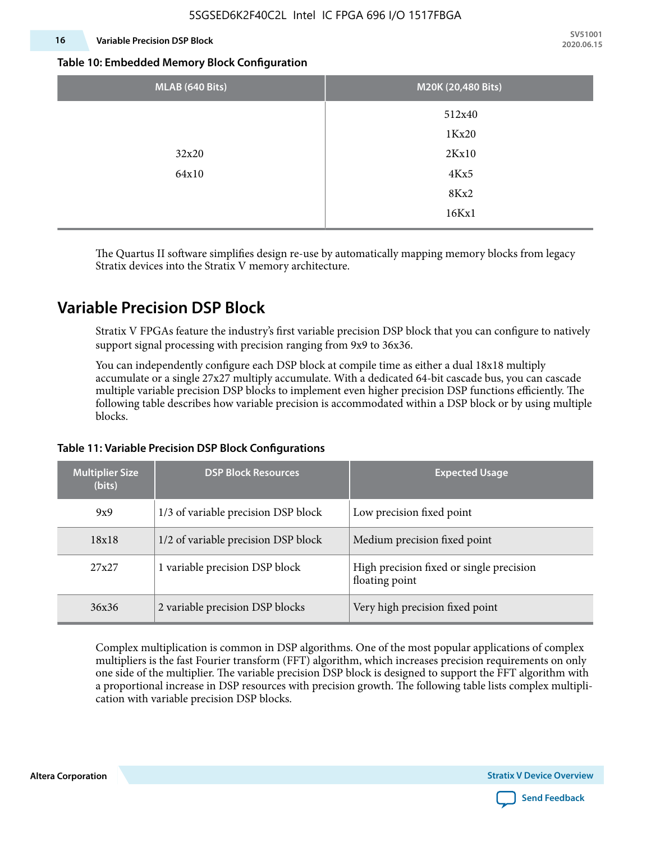#### **16 Variable Precision DSP Block**

**SV51001 2020.06.15**

#### **Table 10: Embedded Memory Block Configuration**

| MLAB (640 Bits) | M20K (20,480 Bits) |
|-----------------|--------------------|
|                 | 512x40             |
|                 | 1Kx20              |
| 32x20           | 2Kx10              |
| 64x10           | 4Kx5               |
|                 | 8Kx2               |
|                 | 16Kx1              |

The Quartus II software simplifies design re-use by automatically mapping memory blocks from legacy Stratix devices into the Stratix V memory architecture.

### **Variable Precision DSP Block**

Stratix V FPGAs feature the industry's first variable precision DSP block that you can configure to natively support signal processing with precision ranging from 9x9 to 36x36.

You can independently configure each DSP block at compile time as either a dual 18x18 multiply accumulate or a single 27x27 multiply accumulate. With a dedicated 64-bit cascade bus, you can cascade multiple variable precision DSP blocks to implement even higher precision DSP functions efficiently. The following table describes how variable precision is accommodated within a DSP block or by using multiple blocks.

| <b>Multiplier Size</b><br>(bits) | <b>DSP Block Resources</b>          | <b>Expected Usage</b>                                      |  |  |
|----------------------------------|-------------------------------------|------------------------------------------------------------|--|--|
| 9x9                              | 1/3 of variable precision DSP block | Low precision fixed point                                  |  |  |
| 18x18                            | 1/2 of variable precision DSP block | Medium precision fixed point                               |  |  |
| 27x27                            | 1 variable precision DSP block      | High precision fixed or single precision<br>floating point |  |  |
| 36x36                            | 2 variable precision DSP blocks     | Very high precision fixed point                            |  |  |

#### **Table 11: Variable Precision DSP Block Configurations**

Complex multiplication is common in DSP algorithms. One of the most popular applications of complex multipliers is the fast Fourier transform (FFT) algorithm, which increases precision requirements on only one side of the multiplier. The variable precision DSP block is designed to support the FFT algorithm with a proportional increase in DSP resources with precision growth. The following table lists complex multipli‐ cation with variable precision DSP blocks.

**Altera Corporation** 

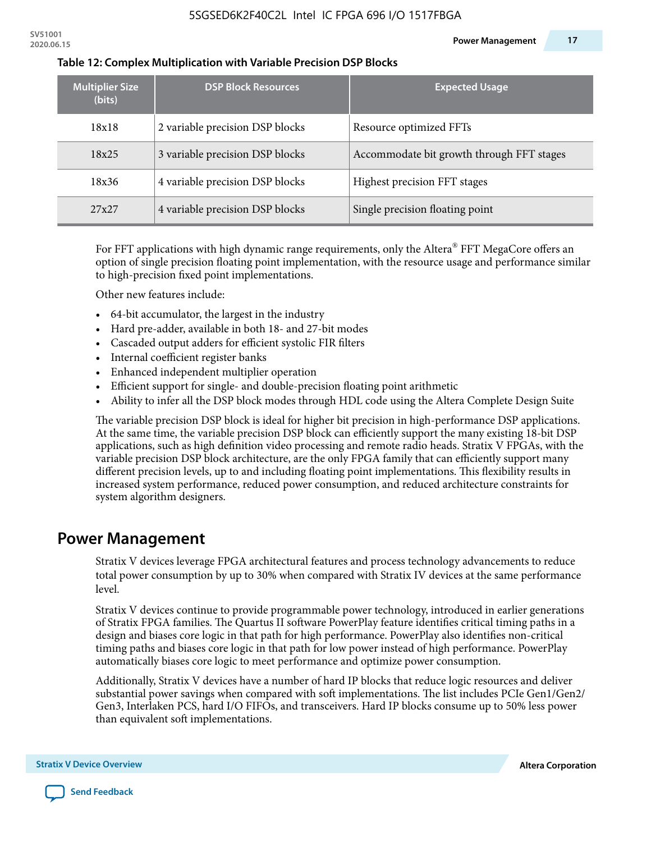| <b>Multiplier Size</b><br>(bits) | <b>DSP Block Resources</b>      | <b>Expected Usage</b>                     |  |  |
|----------------------------------|---------------------------------|-------------------------------------------|--|--|
| 18x18                            | 2 variable precision DSP blocks | Resource optimized FFTs                   |  |  |
| 18x25                            | 3 variable precision DSP blocks | Accommodate bit growth through FFT stages |  |  |
| 18x36                            | 4 variable precision DSP blocks | Highest precision FFT stages              |  |  |
| 27x27                            | 4 variable precision DSP blocks | Single precision floating point           |  |  |

#### **Table 12: Complex Multiplication with Variable Precision DSP Blocks**

For FFT applications with high dynamic range requirements, only the Altera $^\circ$  FFT MegaCore offers an option of single precision floating point implementation, with the resource usage and performance similar to high-precision fixed point implementations.

Other new features include:

- 64-bit accumulator, the largest in the industry
- Hard pre-adder, available in both 18- and 27-bit modes
- Cascaded output adders for efficient systolic FIR filters
- Internal coefficient register banks
- Enhanced independent multiplier operation
- Efficient support for single- and double-precision floating point arithmetic
- Ability to infer all the DSP block modes through HDL code using the Altera Complete Design Suite

The variable precision DSP block is ideal for higher bit precision in high-performance DSP applications. At the same time, the variable precision DSP block can efficiently support the many existing 18-bit DSP applications, such as high definition video processing and remote radio heads. Stratix V FPGAs, with the variable precision DSP block architecture, are the only FPGA family that can efficiently support many different precision levels, up to and including floating point implementations. This flexibility results in increased system performance, reduced power consumption, and reduced architecture constraints for system algorithm designers.

### **Power Management**

Stratix V devices leverage FPGA architectural features and process technology advancements to reduce total power consumption by up to 30% when compared with Stratix IV devices at the same performance level.

Stratix V devices continue to provide programmable power technology, introduced in earlier generations of Stratix FPGA families. The Quartus II software PowerPlay feature identifies critical timing paths in a design and biases core logic in that path for high performance. PowerPlay also identifies non-critical timing paths and biases core logic in that path for low power instead of high performance. PowerPlay automatically biases core logic to meet performance and optimize power consumption.

Additionally, Stratix V devices have a number of hard IP blocks that reduce logic resources and deliver substantial power savings when compared with soft implementations. The list includes PCIe Gen1/Gen2/ Gen3, Interlaken PCS, hard I/O FIFOs, and transceivers. Hard IP blocks consume up to 50% less power than equivalent soft implementations.

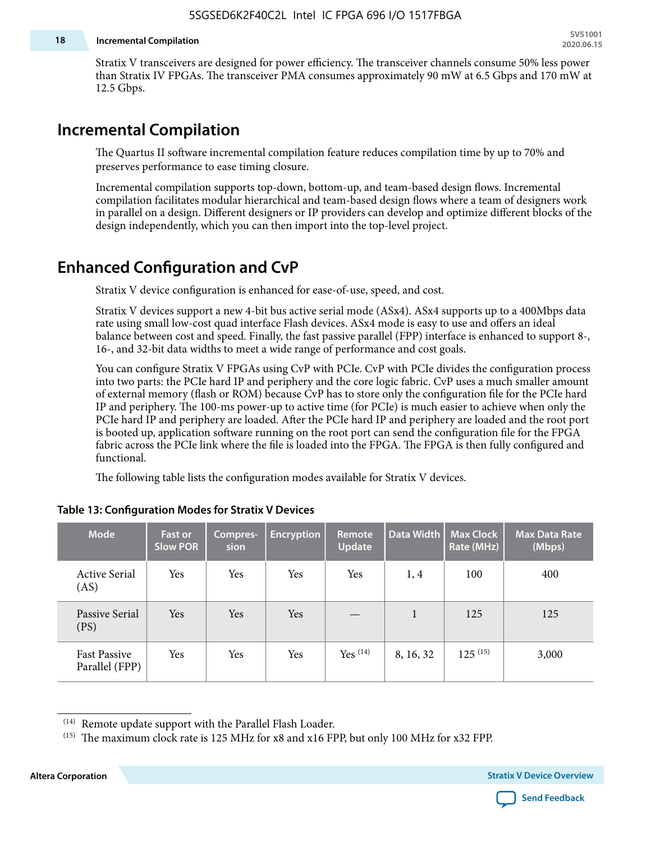#### **18 Incremental Compilation**

Stratix V transceivers are designed for power efficiency. The transceiver channels consume 50% less power than Stratix IV FPGAs. The transceiver PMA consumes approximately 90 mW at 6.5 Gbps and 170 mW at 12.5 Gbps.

### **Incremental Compilation**

The Quartus II software incremental compilation feature reduces compilation time by up to 70% and preserves performance to ease timing closure.

Incremental compilation supports top-down, bottom-up, and team-based design flows. Incremental compilation facilitates modular hierarchical and team-based design flows where a team of designers work in parallel on a design. Different designers or IP providers can develop and optimize different blocks of the design independently, which you can then import into the top-level project.

### **Enhanced Configuration and CvP**

Stratix V device configuration is enhanced for ease-of-use, speed, and cost.

Stratix V devices support a new 4-bit bus active serial mode (ASx4). ASx4 supports up to a 400Mbps data rate using small low-cost quad interface Flash devices. ASx4 mode is easy to use and offers an ideal balance between cost and speed. Finally, the fast passive parallel (FPP) interface is enhanced to support 8-, 16-, and 32-bit data widths to meet a wide range of performance and cost goals.

You can configure Stratix V FPGAs using CvP with PCIe. CvP with PCIe divides the configuration process into two parts: the PCIe hard IP and periphery and the core logic fabric. CvP uses a much smaller amount of external memory (flash or ROM) because CvP has to store only the configuration file for the PCIe hard IP and periphery. The 100-ms power-up to active time (for PCIe) is much easier to achieve when only the PCIe hard IP and periphery are loaded. After the PCIe hard IP and periphery are loaded and the root port is booted up, application software running on the root port can send the configuration file for the FPGA fabric across the PCIe link where the file is loaded into the FPGA. The FPGA is then fully configured and functional.

The following table lists the configuration modes available for Stratix V devices.

| <b>Mode</b>                           | <b>Fast or</b><br><b>Slow POR</b> | Compres-<br>sion | <b>Encryption</b> | Remote<br><b>Update</b> | Data Width | <b>Max Clock</b><br>Rate (MHz) | <b>Max Data Rate</b><br>(Mbps) |
|---------------------------------------|-----------------------------------|------------------|-------------------|-------------------------|------------|--------------------------------|--------------------------------|
| <b>Active Serial</b><br>(AS)          | Yes                               | Yes              | Yes               | Yes                     | 1, 4       | 100                            | 400                            |
| Passive Serial<br>(PS)                | Yes                               | Yes              | Yes               |                         | 1          | 125                            | 125                            |
| <b>Fast Passive</b><br>Parallel (FPP) | Yes                               | Yes              | Yes               | $Yes$ $(14)$            | 8, 16, 32  | $125^{(15)}$                   | 3,000                          |

#### **Table 13: Configuration Modes for Stratix V Devices**

**Altera Corporation Stratix V Device Overview**



<sup>(14)</sup> Remote update support with the Parallel Flash Loader.

<sup>&</sup>lt;sup>(15)</sup> The maximum clock rate is 125 MHz for x8 and x16 FPP, but only 100 MHz for x32 FPP.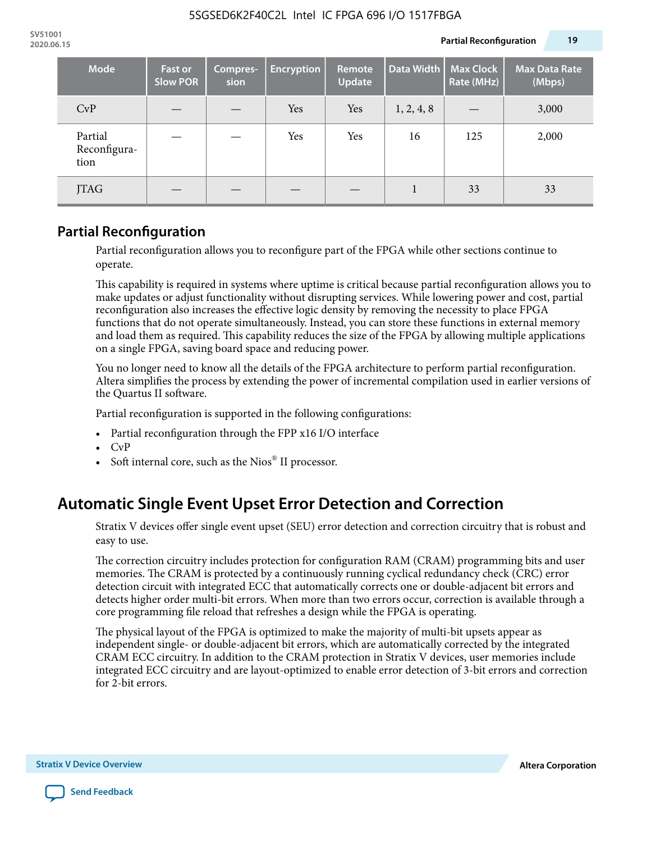| <b>Mode</b>                     | <b>Fast or</b><br><b>Slow POR</b> | Compres-<br>sion | <b>Encryption</b> | Remote<br>Update | Data Width | <b>Max Clock</b><br>Rate (MHz) | <b>Max Data Rate</b><br>(Mbps) |
|---------------------------------|-----------------------------------|------------------|-------------------|------------------|------------|--------------------------------|--------------------------------|
| CvP                             |                                   |                  | Yes               | Yes              | 1, 2, 4, 8 |                                | 3,000                          |
| Partial<br>Reconfigura-<br>tion |                                   |                  | Yes               | Yes              | 16         | 125                            | 2,000                          |
| JTAG                            |                                   |                  |                   |                  |            | 33                             | 33                             |

### **Partial Reconfiguration**

Partial reconfiguration allows you to reconfigure part of the FPGA while other sections continue to operate.

This capability is required in systems where uptime is critical because partial reconfiguration allows you to make updates or adjust functionality without disrupting services. While lowering power and cost, partial reconfiguration also increases the effective logic density by removing the necessity to place FPGA functions that do not operate simultaneously. Instead, you can store these functions in external memory and load them as required. This capability reduces the size of the FPGA by allowing multiple applications on a single FPGA, saving board space and reducing power.

You no longer need to know all the details of the FPGA architecture to perform partial reconfiguration. Altera simplifies the process by extending the power of incremental compilation used in earlier versions of the Quartus II software.

Partial reconfiguration is supported in the following configurations:

- Partial reconfiguration through the FPP x16 I/O interface
- CvP
- Soft internal core, such as the Nios® II processor.

# **Automatic Single Event Upset Error Detection and Correction**

Stratix V devices offer single event upset (SEU) error detection and correction circuitry that is robust and easy to use.

The correction circuitry includes protection for configuration RAM (CRAM) programming bits and user memories. The CRAM is protected by a continuously running cyclical redundancy check (CRC) error detection circuit with integrated ECC that automatically corrects one or double-adjacent bit errors and detects higher order multi-bit errors. When more than two errors occur, correction is available through a core programming file reload that refreshes a design while the FPGA is operating.

The physical layout of the FPGA is optimized to make the majority of multi-bit upsets appear as independent single- or double-adjacent bit errors, which are automatically corrected by the integrated CRAM ECC circuitry. In addition to the CRAM protection in Stratix V devices, user memories include integrated ECC circuitry and are layout-optimized to enable error detection of 3-bit errors and correction for 2-bit errors.

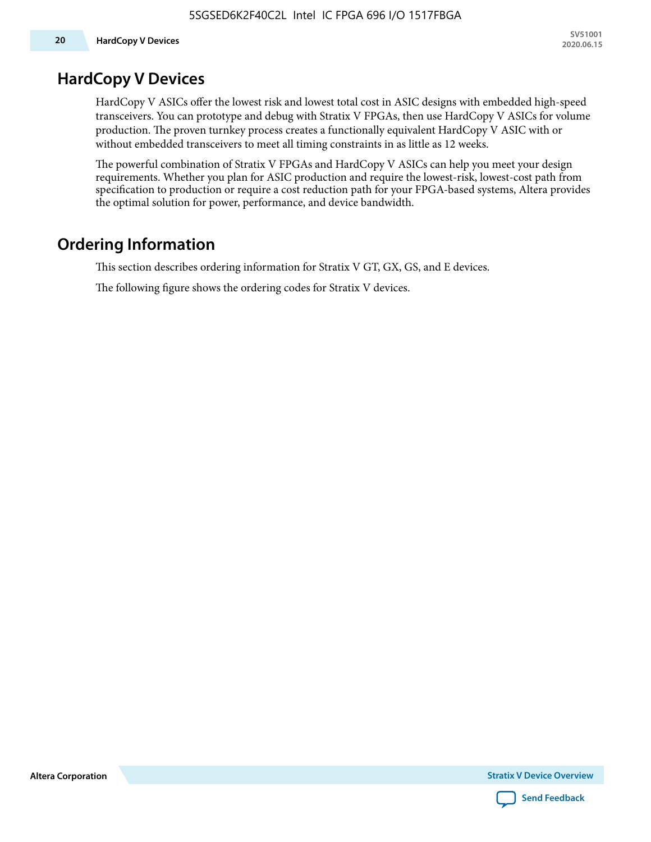### **HardCopy V Devices**

HardCopy V ASICs offer the lowest risk and lowest total cost in ASIC designs with embedded high-speed transceivers. You can prototype and debug with Stratix V FPGAs, then use HardCopy V ASICs for volume production. The proven turnkey process creates a functionally equivalent HardCopy V ASIC with or without embedded transceivers to meet all timing constraints in as little as 12 weeks.

The powerful combination of Stratix V FPGAs and HardCopy V ASICs can help you meet your design requirements. Whether you plan for ASIC production and require the lowest-risk, lowest-cost path from specification to production or require a cost reduction path for your FPGA-based systems, Altera provides the optimal solution for power, performance, and device bandwidth.

# **Ordering Information**

This section describes ordering information for Stratix V GT, GX, GS, and E devices.

The following figure shows the ordering codes for Stratix V devices.

**Altera Corporation** 

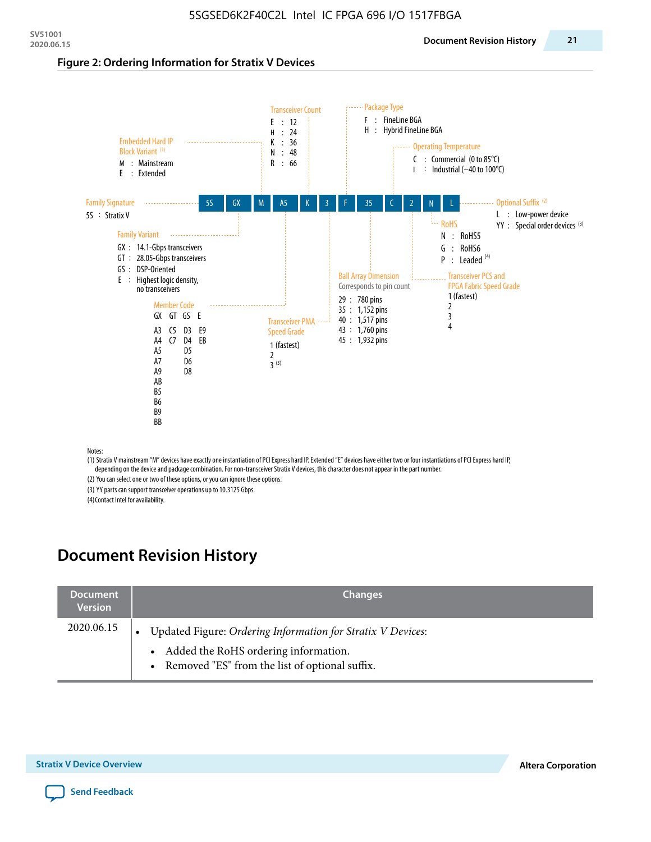#### **Figure 2: Ordering Information for Stratix V Devices**



(1) Stratix V mainstream "M" devices have exactly one instantiation of PCI Express hard IP. Extended "E" devices have either two or four instantiations of PCI Express hard IP, depending on the device and package combination. For non-transceiver Stratix V devices, this character does not appear in the part number.

(2) You can select one or two of these options, or you can ignore these options.

(3) YY parts can support transceiver operations up to 10.3125 Gbps.

(4) Contact Intel for availability.

# **Document Revision History**

| <b>Document</b><br><b>Version</b> | <b>Changes</b>                                                                                                                                            |
|-----------------------------------|-----------------------------------------------------------------------------------------------------------------------------------------------------------|
| 2020.06.15                        | Updated Figure: Ordering Information for Stratix V Devices:<br>• Added the RoHS ordering information.<br>• Removed "ES" from the list of optional suffix. |

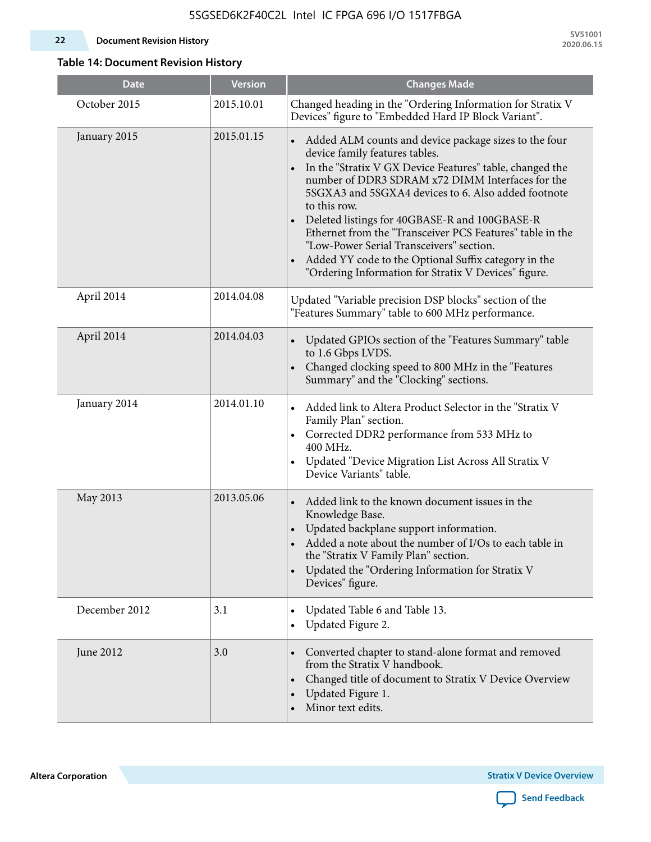#### **22 Document Revision History**

**SV51001 2020.06.15**

### **Table 14: Document Revision History**

| <b>Date</b>   | <b>Version</b> | <b>Changes Made</b>                                                                                                                                                                                                                                                                                                                                                                                                                                                                                                                                                                |
|---------------|----------------|------------------------------------------------------------------------------------------------------------------------------------------------------------------------------------------------------------------------------------------------------------------------------------------------------------------------------------------------------------------------------------------------------------------------------------------------------------------------------------------------------------------------------------------------------------------------------------|
| October 2015  | 2015.10.01     | Changed heading in the "Ordering Information for Stratix V<br>Devices" figure to "Embedded Hard IP Block Variant".                                                                                                                                                                                                                                                                                                                                                                                                                                                                 |
| January 2015  | 2015.01.15     | Added ALM counts and device package sizes to the four<br>device family features tables.<br>In the "Stratix V GX Device Features" table, changed the<br>$\bullet$<br>number of DDR3 SDRAM x72 DIMM Interfaces for the<br>5SGXA3 and 5SGXA4 devices to 6. Also added footnote<br>to this row.<br>Deleted listings for 40GBASE-R and 100GBASE-R<br>Ethernet from the "Transceiver PCS Features" table in the<br>"Low-Power Serial Transceivers" section.<br>Added YY code to the Optional Suffix category in the<br>$\bullet$<br>"Ordering Information for Stratix V Devices" figure. |
| April 2014    | 2014.04.08     | Updated "Variable precision DSP blocks" section of the<br>"Features Summary" table to 600 MHz performance.                                                                                                                                                                                                                                                                                                                                                                                                                                                                         |
| April 2014    | 2014.04.03     | Updated GPIOs section of the "Features Summary" table<br>to 1.6 Gbps LVDS.<br>Changed clocking speed to 800 MHz in the "Features<br>Summary" and the "Clocking" sections.                                                                                                                                                                                                                                                                                                                                                                                                          |
| January 2014  | 2014.01.10     | Added link to Altera Product Selector in the "Stratix V<br>Family Plan" section.<br>Corrected DDR2 performance from 533 MHz to<br>$\bullet$<br>400 MHz.<br>Updated "Device Migration List Across All Stratix V<br>Device Variants" table.                                                                                                                                                                                                                                                                                                                                          |
| May 2013      | 2013.05.06     | Added link to the known document issues in the<br>$\bullet$<br>Knowledge Base.<br>Updated backplane support information.<br>Added a note about the number of I/Os to each table in<br>the "Stratix V Family Plan" section.<br>Updated the "Ordering Information for Stratix V<br>$\bullet$<br>Devices" figure.                                                                                                                                                                                                                                                                     |
| December 2012 | 3.1            | Updated Table 6 and Table 13.<br>Updated Figure 2.<br>$\bullet$                                                                                                                                                                                                                                                                                                                                                                                                                                                                                                                    |
| June 2012     | 3.0            | Converted chapter to stand-alone format and removed<br>from the Stratix V handbook.<br>Changed title of document to Stratix V Device Overview<br>$\bullet$<br>Updated Figure 1.<br>$\bullet$<br>Minor text edits.                                                                                                                                                                                                                                                                                                                                                                  |

**Altera Corporation** 

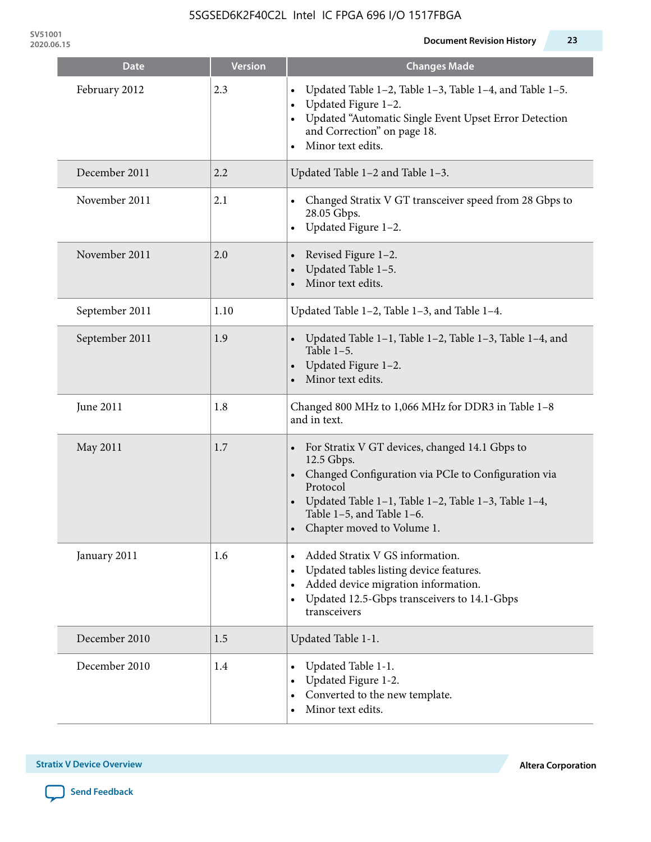**SV51001**

| <b>Date</b>    | <b>Version</b> | <b>Changes Made</b>                                                                                                                                                                                                                                   |
|----------------|----------------|-------------------------------------------------------------------------------------------------------------------------------------------------------------------------------------------------------------------------------------------------------|
| February 2012  | 2.3            | Updated Table 1-2, Table 1-3, Table 1-4, and Table 1-5.<br>Updated Figure 1-2.<br>Updated "Automatic Single Event Upset Error Detection<br>and Correction" on page 18.<br>Minor text edits.<br>$\bullet$                                              |
| December 2011  | 2.2            | Updated Table 1-2 and Table 1-3.                                                                                                                                                                                                                      |
| November 2011  | 2.1            | Changed Stratix V GT transceiver speed from 28 Gbps to<br>28.05 Gbps.<br>Updated Figure 1-2.                                                                                                                                                          |
| November 2011  | 2.0            | Revised Figure 1-2.<br>Updated Table 1-5.<br>Minor text edits.                                                                                                                                                                                        |
| September 2011 | 1.10           | Updated Table 1-2, Table 1-3, and Table 1-4.                                                                                                                                                                                                          |
| September 2011 | 1.9            | Updated Table 1-1, Table 1-2, Table 1-3, Table 1-4, and<br>Table $1-5$ .<br>Updated Figure 1-2.<br>Minor text edits.                                                                                                                                  |
| June 2011      | 1.8            | Changed 800 MHz to 1,066 MHz for DDR3 in Table 1-8<br>and in text.                                                                                                                                                                                    |
| May 2011       | 1.7            | For Stratix V GT devices, changed 14.1 Gbps to<br>12.5 Gbps.<br>• Changed Configuration via PCIe to Configuration via<br>Protocol<br>Updated Table 1–1, Table 1–2, Table 1–3, Table 1–4,<br>Table 1-5, and Table 1-6.<br>• Chapter moved to Volume 1. |
| January 2011   | 1.6            | Added Stratix V GS information.<br>Updated tables listing device features.<br>Added device migration information.<br>$\bullet$<br>Updated 12.5-Gbps transceivers to 14.1-Gbps<br>$\bullet$<br>transceivers                                            |
| December 2010  | 1.5            | Updated Table 1-1.                                                                                                                                                                                                                                    |
| December 2010  | 1.4            | Updated Table 1-1.<br>Updated Figure 1-2.<br>Converted to the new template.<br>Minor text edits.                                                                                                                                                      |

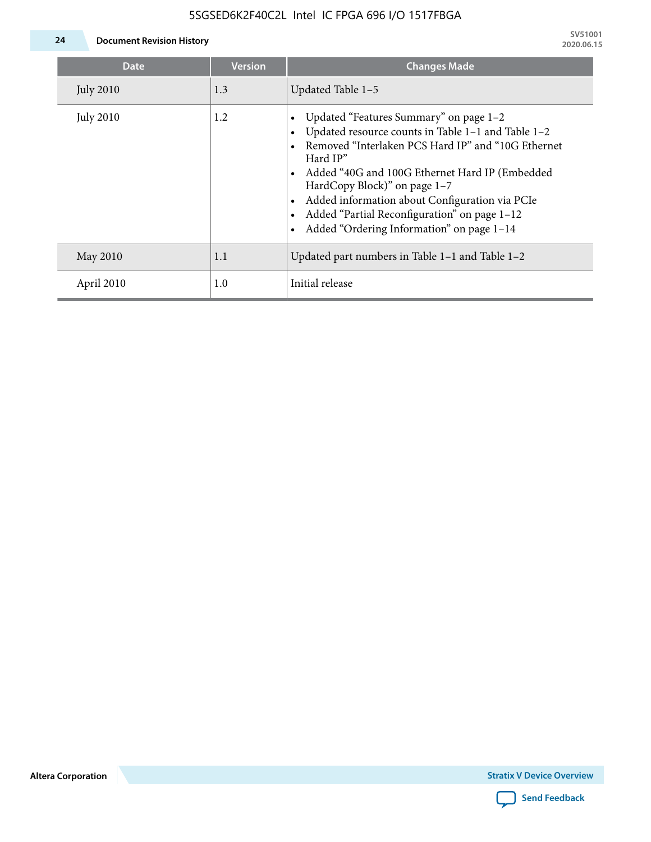### 5SGSED6K2F40C2L Intel IC FPGA 696 I/O 1517FBGA



**24 Document Revision History**

| <b>Date</b>      | <b>Version</b> | <b>Changes Made</b>                                                                                                                                                                                                                                                                                                                                                                               |
|------------------|----------------|---------------------------------------------------------------------------------------------------------------------------------------------------------------------------------------------------------------------------------------------------------------------------------------------------------------------------------------------------------------------------------------------------|
| <b>July 2010</b> | 1.3            | Updated Table 1-5                                                                                                                                                                                                                                                                                                                                                                                 |
| <b>July 2010</b> | 1.2            | Updated "Features Summary" on page 1-2<br>Updated resource counts in Table 1-1 and Table 1-2<br>Removed "Interlaken PCS Hard IP" and "10G Ethernet<br>Hard IP"<br>• Added "40G and 100G Ethernet Hard IP (Embedded<br>HardCopy Block)" on page 1-7<br>Added information about Configuration via PCIe<br>Added "Partial Reconfiguration" on page 1-12<br>Added "Ordering Information" on page 1-14 |
| May 2010         | 1.1            | Updated part numbers in Table $1-1$ and Table $1-2$                                                                                                                                                                                                                                                                                                                                               |
| April 2010       | 1.0            | Initial release                                                                                                                                                                                                                                                                                                                                                                                   |

**Altera Corporation**